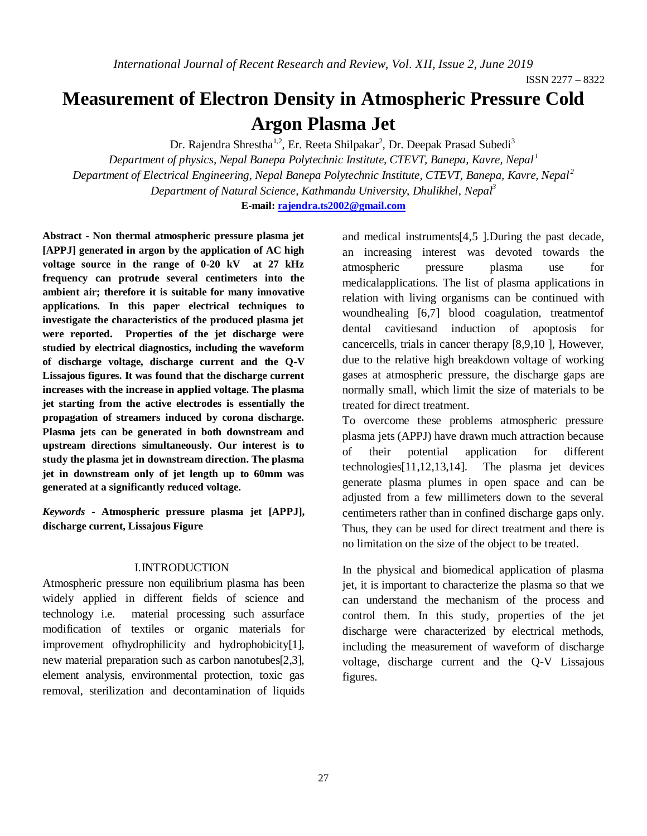# **Measurement of Electron Density in Atmospheric Pressure Cold Argon Plasma Jet**

Dr. Rajendra Shrestha<sup>1,2</sup>, Er. Reeta Shilpakar<sup>2</sup>, Dr. Deepak Prasad Subedi<sup>3</sup>

*Department of physics, Nepal Banepa Polytechnic Institute, CTEVT, Banepa, Kavre, Nepal <sup>1</sup> Department of Electrical Engineering, Nepal Banepa Polytechnic Institute, CTEVT, Banepa, Kavre, Nepal <sup>2</sup> Department of Natural Science, Kathmandu University, Dhulikhel, Nepal<sup>3</sup>* **E-mail: [rajendra.ts2002@gmail.com](mailto:rajendra.ts2002@gmail.com)**

**Abstract - Non thermal atmospheric pressure plasma jet [APPJ] generated in argon by the application of AC high voltage source in the range of 0-20 kV at 27 kHz frequency can protrude several centimeters into the ambient air; therefore it is suitable for many innovative applications. In this paper electrical techniques to investigate the characteristics of the produced plasma jet were reported. Properties of the jet discharge were studied by electrical diagnostics, including the waveform of discharge voltage, discharge current and the Q-V Lissajous figures. It was found that the discharge current increases with the increase in applied voltage. The plasma jet starting from the active electrodes is essentially the propagation of streamers induced by corona discharge. Plasma jets can be generated in both downstream and upstream directions simultaneously. Our interest is to study the plasma jet in downstream direction. The plasma jet in downstream only of jet length up to 60mm was generated at a significantly reduced voltage.**

*Keywords* **- Atmospheric pressure plasma jet [APPJ], discharge current, Lissajous Figure**

### I.INTRODUCTION

Atmospheric pressure non equilibrium plasma has been widely applied in different fields of science and technology i.e. material processing such assurface modification of textiles or organic materials for improvement ofhydrophilicity and hydrophobicity[1], new material preparation such as carbon nanotubes[2,3], element analysis, environmental protection, toxic gas removal, sterilization and decontamination of liquids

and medical instruments[4,5 ].During the past decade, an increasing interest was devoted towards the atmospheric pressure plasma use for medicalapplications. The list of plasma applications in relation with living organisms can be continued with woundhealing [6,7] blood coagulation, treatmentof dental cavitiesand induction of apoptosis for cancercells, trials in cancer therapy [8,9,10 ], However, due to the relative high breakdown voltage of working gases at atmospheric pressure, the discharge gaps are normally small, which limit the size of materials to be treated for direct treatment.

To overcome these problems atmospheric pressure plasma jets (APPJ) have drawn much attraction because of their potential application for different technologies[11,12,13,14]. The plasma jet devices generate plasma plumes in open space and can be adjusted from a few millimeters down to the several centimeters rather than in confined discharge gaps only. Thus, they can be used for direct treatment and there is no limitation on the size of the object to be treated.

In the physical and biomedical application of plasma jet, it is important to characterize the plasma so that we can understand the mechanism of the process and control them. In this study, properties of the jet discharge were characterized by electrical methods, including the measurement of waveform of discharge voltage, discharge current and the Q-V Lissajous figures.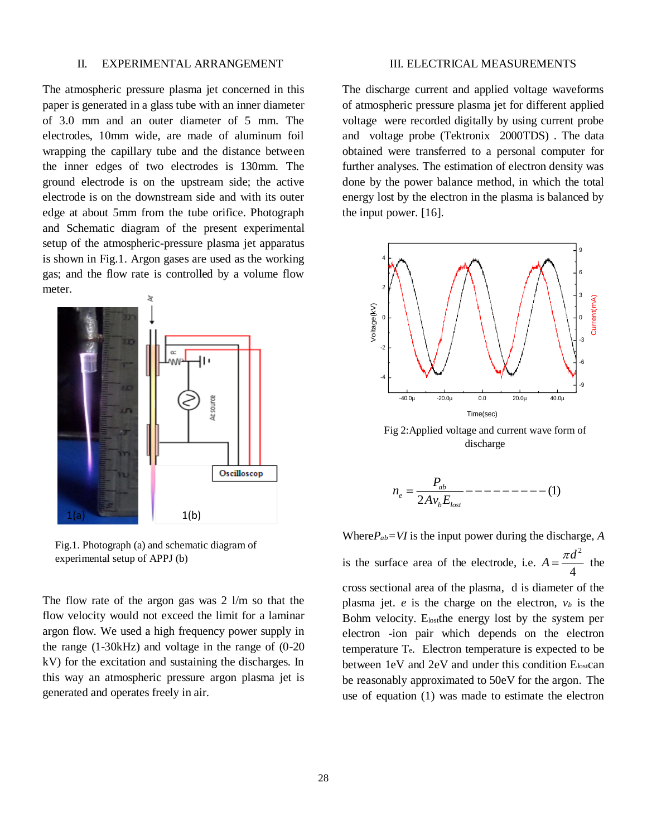#### II. EXPERIMENTAL ARRANGEMENT

The atmospheric pressure plasma jet concerned in this paper is generated in a glass tube with an inner diameter of 3.0 mm and an outer diameter of 5 mm. The electrodes, 10mm wide, are made of aluminum foil wrapping the capillary tube and the distance between the inner edges of two electrodes is 130mm. The ground electrode is on the upstream side; the active electrode is on the downstream side and with its outer edge at about 5mm from the tube orifice. Photograph and Schematic diagram of the present experimental setup of the atmospheric-pressure plasma jet apparatus is shown in Fig.1. Argon gases are used as the working gas; and the flow rate is controlled by a volume flow meter.



Fig.1. Photograph (a) and schematic diagram of experimental setup of APPJ (b)

The flow rate of the argon gas was  $2 \frac{1}{m}$  so that the flow velocity would not exceed the limit for a laminar argon flow. We used a high frequency power supply in the range (1-30kHz) and voltage in the range of (0-20 kV) for the excitation and sustaining the discharges. In this way an atmospheric pressure argon plasma jet is generated and operates freely in air.

#### III. ELECTRICAL MEASUREMENTS

The discharge current and applied voltage waveforms of atmospheric pressure plasma jet for different applied voltage were recorded digitally by using current probe and voltage probe (Tektronix 2000TDS) . The data obtained were transferred to a personal computer for further analyses. The estimation of electron density was done by the power balance method, in which the total energy lost by the electron in the plasma is balanced by the input power. [16].



Fig 2:Applied voltage and current wave form of discharge

$$
n_e = \frac{P_{ab}}{2Av_b E_{lost}} - \dots - \dots - \dots - (1)
$$

Where $P_{ab} = VI$  is the input power during the discharge, *A* is the surface area of the electrode, i.e. 2 4  $A = \frac{\pi d^2}{4}$  the cross sectional area of the plasma, d is diameter of the plasma jet.  $e$  is the charge on the electron,  $v_b$  is the Bohm velocity. E<sub>lost</sub>the energy lost by the system per electron -ion pair which depends on the electron temperature Te. Electron temperature is expected to be between 1eV and 2eV and under this condition Elostcan be reasonably approximated to 50eV for the argon. The use of equation (1) was made to estimate the electron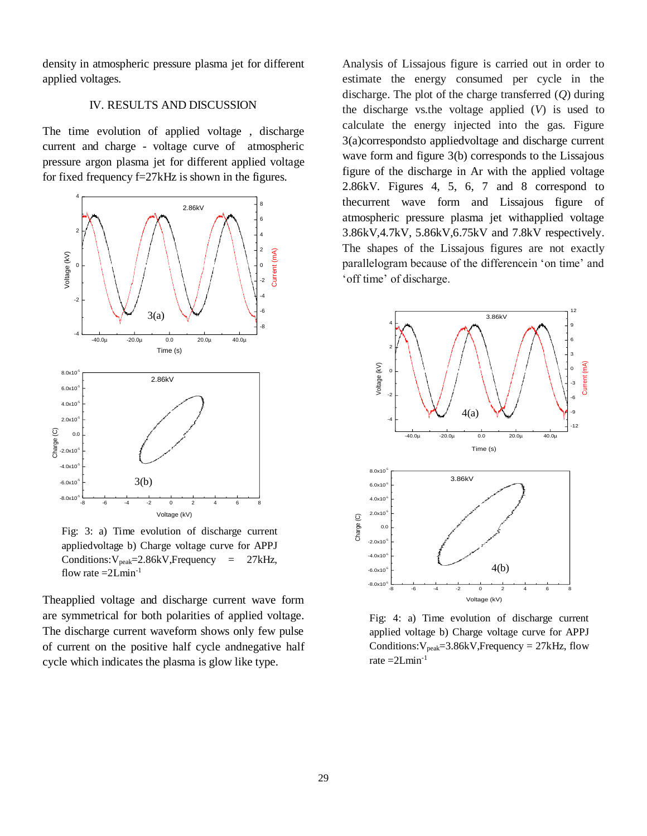density in atmospheric pressure plasma jet for different applied voltages.

## IV. RESULTS AND DISCUSSION

The time evolution of applied voltage , discharge current and charge - voltage curve of atmospheric pressure argon plasma jet for different applied voltage for fixed frequency f=27kHz is shown in the figures.



Fig: 3: a) Time evolution of discharge current appliedvoltage b) Charge voltage curve for APPJ  $Condition:V_{peak}=2.86kV, Frequency = 27kHz,$ flow rate  $=2$ Lmin<sup>-1</sup>

Theapplied voltage and discharge current wave form are symmetrical for both polarities of applied voltage. The discharge current waveform shows only few pulse of current on the positive half cycle andnegative half cycle which indicates the plasma is glow like type.

Analysis of Lissajous figure is carried out in order to estimate the energy consumed per cycle in the discharge. The plot of the charge transferred (*Q*) during the discharge vs.the voltage applied (*V*) is used to calculate the energy injected into the gas. Figure 3(a)correspondsto appliedvoltage and discharge current wave form and figure 3(b) corresponds to the Lissajous figure of the discharge in Ar with the applied voltage 2.86kV. Figures 4, 5, 6, 7 and 8 correspond to thecurrent wave form and Lissajous figure of atmospheric pressure plasma jet withapplied voltage 3.86kV,4.7kV, 5.86kV,6.75kV and 7.8kV respectively. The shapes of the Lissajous figures are not exactly parallelogram because of the differencein 'on time' and 'off time' of discharge.



Fig: 4: a) Time evolution of discharge current applied voltage b) Charge voltage curve for APPJ Conditions: $V_{peak} = 3.86$ kV,Frequency = 27kHz, flow rate  $=2Lmin^{-1}$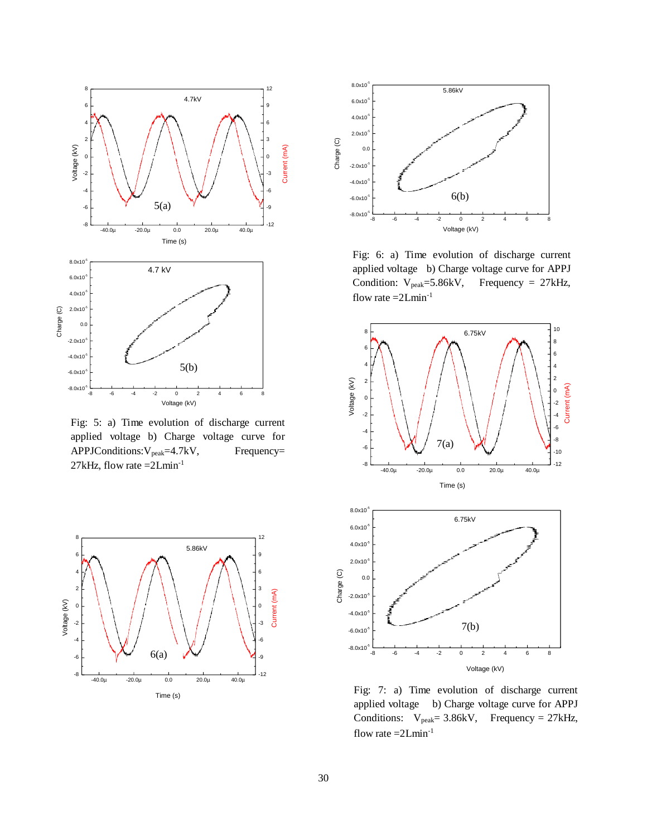

Fig: 5: a) Time evolution of discharge current applied voltage b) Charge voltage curve for APPJConditions: V<sub>peak</sub>=4.7kV, Frequency= 27kHz, flow rate  $=2$ Lmin<sup>-1</sup>





Fig: 6: a) Time evolution of discharge current applied voltage b) Charge voltage curve for APPJ Condition:  $V_{\text{peak}} = 5.86 \text{kV}$ , Frequency = 27kHz, flow rate  $=2$ Lmin<sup>-1</sup>





Fig: 7: a) Time evolution of discharge current applied voltage b) Charge voltage curve for APPJ Conditions:  $V_{peak} = 3.86kV$ , Frequency = 27kHz, flow rate  $=2$ Lmin<sup>-1</sup>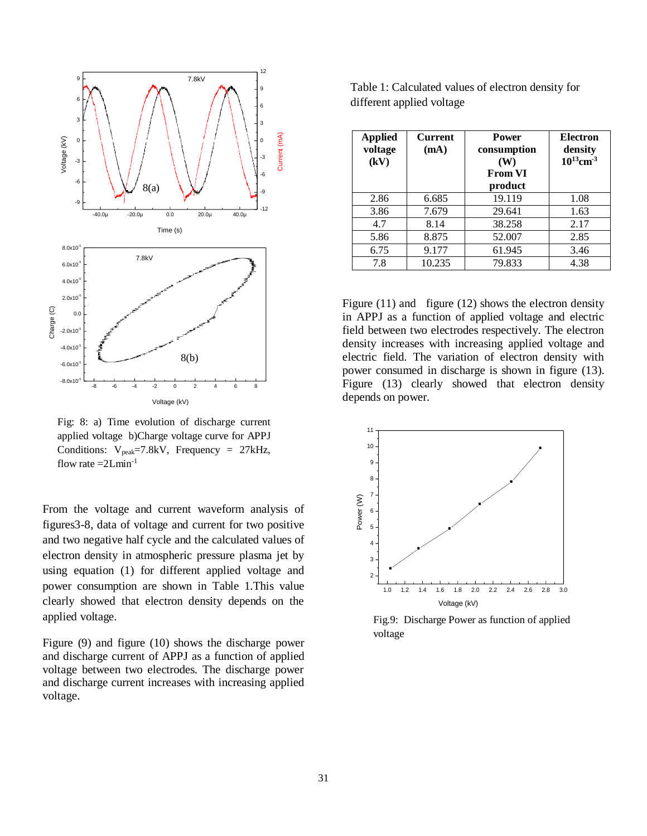

Fig: 8: a) Time evolution of discharge current applied voltage b)Charge voltage curve for APPJ Conditions:  $V_{peak}$ =7.8kV, Frequency = 27kHz, flow rate  $=2$ Lmin<sup>-1</sup>

From the voltage and current waveform analysis of figures3-8, data of voltage and current for two positive and two negative half cycle and the calculated values of electron density in atmospheric pressure plasma jet by using equation (1) for different applied voltage and power consumption are shown in Table 1. This value clearly showed that electron density depends on the applied voltage.

Figure (9) and figure (10) shows the discharge power and discharge current of APPJ as a function of applied voltage between two electrodes. The discharge power and discharge current increases with increasing applied voltage.

flow rate =2Lmin-1

Table 1: Calculated values of electron density for different applied voltage

| <b>Applied</b><br>voltage<br>(kV) | <b>Current</b><br>(mA) | <b>Power</b><br>consumption<br>(W)<br><b>From VI</b><br>product | <b>Electron</b><br>density<br>$10^{13}$ cm <sup>-3</sup> |
|-----------------------------------|------------------------|-----------------------------------------------------------------|----------------------------------------------------------|
| 2.86                              | 6.685                  | 19.119                                                          | 1.08                                                     |
| 3.86                              | 7.679                  | 29.641                                                          | 1.63                                                     |
| 4.7                               | 8.14                   | 38.258                                                          | 2.17                                                     |
| 5.86                              | 8.875                  | 52.007                                                          | 2.85                                                     |
| 6.75                              | 9.177                  | 61.945                                                          | 3.46                                                     |
| 7.8                               | 10.235                 | 79.833                                                          | 4.38                                                     |

Figure (11) and figure (12) shows the electron density in APPJ as a function of applied voltage and electric field between two electrodes respectively. The electron density increases with increasing applied voltage and electric field. The variation of electron density with power consumed in discharge is shown in figure (13). Figure (13) clearly showed that electron density depends on power.



Fig.9: Discharge Power as function of applied voltage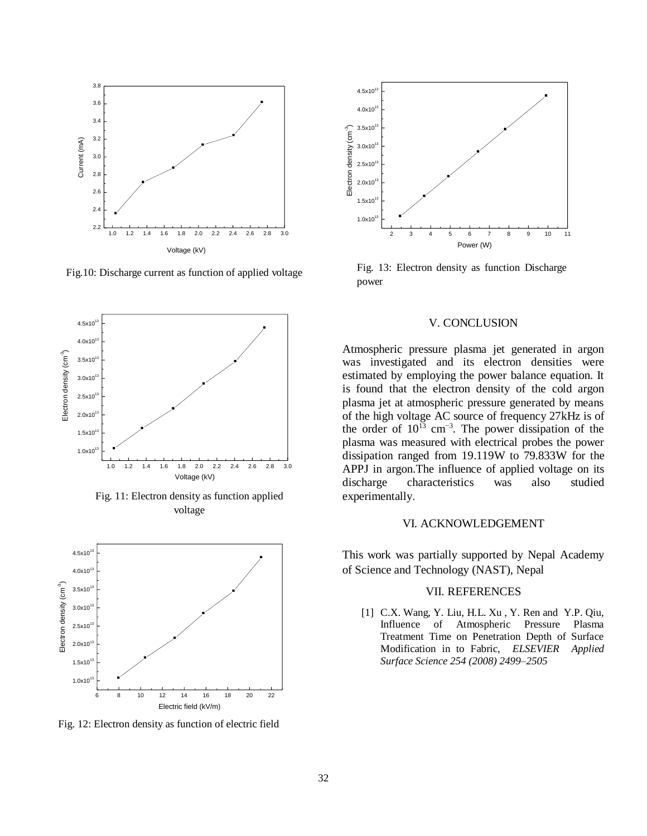

Fig.10: Discharge current as function of applied voltage



Fig. 11: Electron density as function applied voltage



Fig. 12: Electron density as function of electric field



Fig. 13: Electron density as function Discharge power

#### V. CONCLUSION

Atmospheric pressure plasma jet generated in argon was investigated and its electron densities were estimated by employing the power balance equation. It is found that the electron density of the cold argon plasma jet at atmospheric pressure generated by means of the high voltage AC source of frequency 27kHz is of the order of  $10^{13}$  cm<sup>-3</sup>. The power dissipation of the plasma was measured with electrical probes the power dissipation ranged from 19.119W to 79.833W for the APPJ in argon.The influence of applied voltage on its discharge characteristics was also studied experimentally.

#### VI. ACKNOWLEDGEMENT

This work was partially supported by Nepal Academy of Science and Technology (NAST), Nepal

# VII. REFERENCES

[1] C.X. Wang, Y. Liu, H.L. Xu, Y. Ren and Y.P. Qiu, Influence of Atmospheric Pressure Plasma Treatment Time on Penetration Depth of Surface Modification in to Fabric, *ELSEVIER Applied Surface Science 254 (2008) 2499–2505*